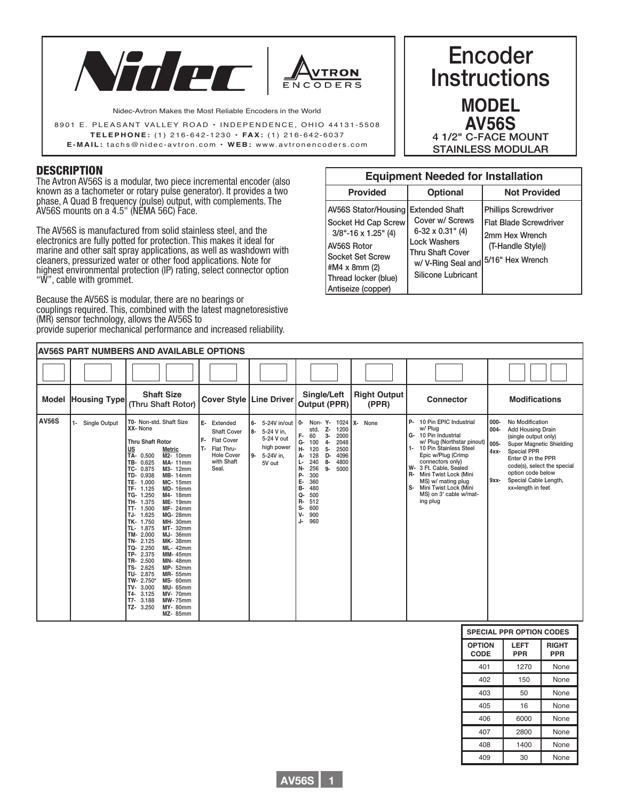



Nidec-Avtron Makes the Most Reliable Encoders in the World

8901 E. PLEASANT VALLEY ROAD · INDEPENDENCE, OHIO 44131-5508 **TELEPHONE:** (1) 216-642-1230 **• FA X :** (1) 216-642-603 7 **E-MAIL:** tachs@nidec-avtron.com **• WEB:** www.avtronencoders.co m

### **DESCRIPTION**

The Avtron AV56S is a modular, two piece incremental encoder (also known as a tachometer or rotary pulse generator). It provides a two phase, A Quad B frequency (pulse) output, with complements. The AV56S mounts on a 4.5" (NEMA 56C) Face.

The AV56S is manufactured from solid stainless steel, and the electronics are fully potted for protection. This makes it ideal for marine and other salt spray applications, as well as washdown with cleaners, pressurized water or other food applications. Note for highest environmental protection (IP) rating, select connector option "W", cable with grommet.

Because the AV56S is modular, there are no bearings or couplings required. This, combined with the latest magnetoresistive (MR) sensor technology, allows the AV56S to provide superior mechanical performance and increased reliability.

# Encoder **Instructions MODEL AV56S** 4 1/2" C-FACE MOUNT STAINLESS MODULAR

| <b>Equipment Needed for Installation</b>                                                                                                                                         |                                                                                                                                                                                     |                                                                                                     |  |  |  |  |  |
|----------------------------------------------------------------------------------------------------------------------------------------------------------------------------------|-------------------------------------------------------------------------------------------------------------------------------------------------------------------------------------|-----------------------------------------------------------------------------------------------------|--|--|--|--|--|
| <b>Provided</b>                                                                                                                                                                  | <b>Optional</b>                                                                                                                                                                     | <b>Not Provided</b>                                                                                 |  |  |  |  |  |
| AV56S Stator/Housing I<br>Socket Hd Cap Screw<br>$3/8$ "-16 x 1.25" (4)<br><b>AV56S Rotor</b><br>Socket Set Screw<br>#M4 x 8mm (2)<br>Thread locker (blue)<br>Antiseize (copper) | <b>Extended Shaft</b><br>Cover w/ Screws<br>$6-32 \times 0.31$ " (4)<br><b>Lock Washers</b><br><b>Thru Shaft Cover</b><br>w/ V-Ring Seal and 5/16" Hex Wrench<br>Silicone Lubricant | <b>Phillips Screwdriver</b><br><b>Flat Blade Screwdriver</b><br>2mm Hex Wrench<br>(T-Handle Style)) |  |  |  |  |  |

|              | <b>AV56S PART NUMBERS AND AVAILABLE OPTIONS</b> |                                                                                                                                                                                                                                                                                                                                                                                                                                                                                                                                                                                                                                                                                                                                                                                                                                                                                                                                       |                                                                                                                           |                                                                                                      |                                                                                                                                                                                                                                                                                                                       |                              |                                                                                                                                                                                                                                                                                                                                                  |                                                                                                                                                                                                                                                                                        |
|--------------|-------------------------------------------------|---------------------------------------------------------------------------------------------------------------------------------------------------------------------------------------------------------------------------------------------------------------------------------------------------------------------------------------------------------------------------------------------------------------------------------------------------------------------------------------------------------------------------------------------------------------------------------------------------------------------------------------------------------------------------------------------------------------------------------------------------------------------------------------------------------------------------------------------------------------------------------------------------------------------------------------|---------------------------------------------------------------------------------------------------------------------------|------------------------------------------------------------------------------------------------------|-----------------------------------------------------------------------------------------------------------------------------------------------------------------------------------------------------------------------------------------------------------------------------------------------------------------------|------------------------------|--------------------------------------------------------------------------------------------------------------------------------------------------------------------------------------------------------------------------------------------------------------------------------------------------------------------------------------------------|----------------------------------------------------------------------------------------------------------------------------------------------------------------------------------------------------------------------------------------------------------------------------------------|
|              |                                                 |                                                                                                                                                                                                                                                                                                                                                                                                                                                                                                                                                                                                                                                                                                                                                                                                                                                                                                                                       |                                                                                                                           |                                                                                                      |                                                                                                                                                                                                                                                                                                                       |                              |                                                                                                                                                                                                                                                                                                                                                  |                                                                                                                                                                                                                                                                                        |
| Model        | <b>Housing Type</b>                             | <b>Shaft Size</b><br>(Thru Shaft Rotor)                                                                                                                                                                                                                                                                                                                                                                                                                                                                                                                                                                                                                                                                                                                                                                                                                                                                                               | <b>Cover Style   Line Driver</b>                                                                                          |                                                                                                      | Single/Left<br>Output (PPR)                                                                                                                                                                                                                                                                                           | <b>Right Output</b><br>(PPR) | <b>Connector</b>                                                                                                                                                                                                                                                                                                                                 | <b>Modifications</b>                                                                                                                                                                                                                                                                   |
| <b>AV56S</b> | Single Output<br>$1 -$                          | T0- Non-std. Shaft Size<br>XX- None<br><b>Thru Shaft Rotor</b><br><u>US</u><br><b>Metric</b><br>TA-<br>0.500<br>M2-10mm<br>0.625<br><b>MA-11mm</b><br>TB-<br>0.875<br>TC-<br>M3-12mm<br>0.938<br><b>MB-14mm</b><br>TD-<br>1.000<br><b>MC-15mm</b><br>TE-<br>TF-<br>1.125<br><b>MD-16mm</b><br>TG- 1.250<br>M4-18mm<br>TH-<br>1.375<br><b>ME-19mm</b><br>1.500<br><b>MF-24mm</b><br>TT-<br>1.625<br>TJ-<br><b>MG-28mm</b><br>1.750<br>MH- 30mm<br>TK-<br>1.875<br><b>MT-32mm</b><br>TL-<br>TM-<br>2.000<br><b>MJ-36mm</b><br>2.125<br><b>MK-38mm</b><br>TN-<br>2.250<br>TQ-<br><b>ML-42mm</b><br>2.375<br>TP-<br><b>MM-45mm</b><br>2.500<br>TR-<br><b>MN-48mm</b><br>2.625<br>TS-<br><b>MP- 52mm</b><br>2.875<br>TU-<br><b>MR-55mm</b><br>TW-<br>$2.750*$<br><b>MS- 60mm</b><br>TV-<br>3.000<br><b>MU-65mm</b><br>3.125<br>T4-<br><b>MV-70mm</b><br>3.188<br><b>MW-75mm</b><br>T7-<br>3.250<br>TZ-<br><b>MY-80mm</b><br><b>MZ-85mm</b> | E- Extended<br><b>Shaft Cover</b><br>F-<br><b>Flat Cover</b><br>T- Flat Thru-<br><b>Hole Cover</b><br>with Shaft<br>Seal. | 5-24V in/out 0-<br>6-<br>5-24 V in.<br>8-<br>5-24 V out<br>high power<br>ـو ا<br>5-24V in,<br>5V out | Non- Y- 1024   X-<br>z-<br>1200<br>std.<br>2000<br>F-<br>60<br>3-<br>G-<br>2048<br>100<br>$4-$<br>н-<br>$5-$<br>2500<br>120<br>D-<br>4096<br>128<br>А-<br>4800<br>8-<br>240<br>Ŀ<br>N-<br>256<br>$9-$<br>5000<br>р.<br>300<br>E-<br>360<br>480<br>в-<br>500<br>Q-<br>512<br>R-<br>600<br>s-<br>V-<br>900<br>960<br>J- | None                         | 10 Pin EPIC Industrial<br><b>P-</b><br>w/ Plug<br>10 Pin Industrial<br>G-<br>w/ Plug (Northstar pinout) 005-<br>10 Pin Stainless Steel<br>$1 -$<br>Epic w/Plug (Crimp<br>connectors only)<br>W-<br>3 Ft. Cable, Sealed<br>Mini Twist Lock (Mini<br>R-<br>MS) w/ mating plug<br>Mini Twist Lock (Mini<br>s-<br>MS) on 3' cable w/mat-<br>ing plug | 000-<br>No Modification<br>004-<br><b>Add Housing Drain</b><br>(single output only)<br><b>Super Magnetic Shielding</b><br>$4xx-$<br><b>Special PPR</b><br>Enter Ø in the PPR<br>code(s), select the special<br>option code below<br>Special Cable Length,<br>9xx-<br>xx=length in feet |

| <b>SPECIAL PPR OPTION CODES</b> |                           |                     |  |  |  |
|---------------------------------|---------------------------|---------------------|--|--|--|
| <b>OPTION</b><br>CODE           | <b>LEFT</b><br><b>PPR</b> | <b>RIGHT</b><br>PPR |  |  |  |
| 401                             | 1270                      | None                |  |  |  |
| 402                             | 150                       | None                |  |  |  |
| 403                             | 50                        | None                |  |  |  |
| 405                             | 16                        | None                |  |  |  |
| 406                             | 6000                      | None                |  |  |  |
| 407                             | 2800                      | None                |  |  |  |
| 408                             | 1400                      | None                |  |  |  |
| 409                             | 30                        | None                |  |  |  |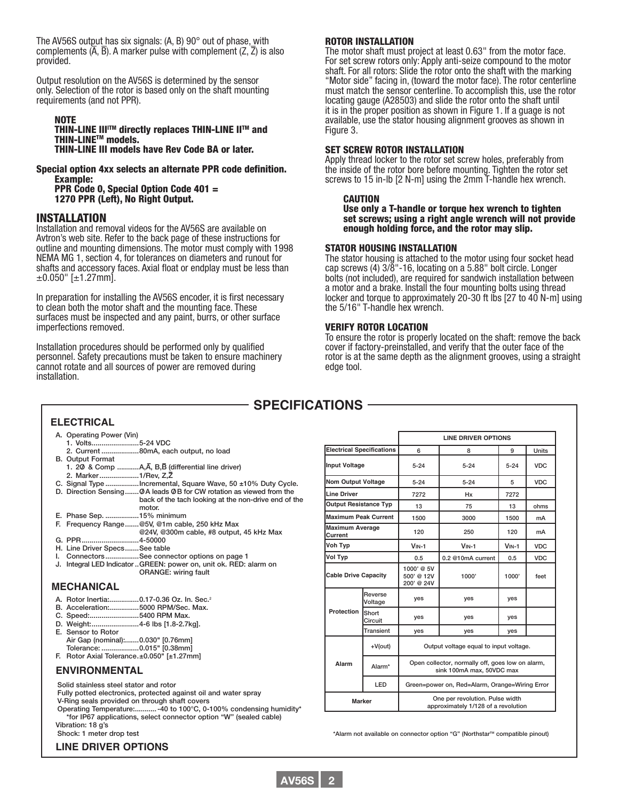The AV56S output has six signals: (A, B) 90° out of phase, with complements  $(\overline{A}, \overline{B})$ . A marker pulse with complement  $(Z, \overline{Z})$  is also provided.

Output resolution on the AV56S is determined by the sensor only. Selection of the rotor is based only on the shaft mounting requirements (and not PPR).

#### NOTE THIN-LINE III<sup>I™</sup> directly replaces THIN-LINE II™ and<br>THIN-LINE™ models. THIN-LINE III models have Rev Code BA or later.

#### Special option 4xx selects an alternate PPR code definition. Example: PPR Code 0, Special Option Code 401 =

1270 PPR (Left), No Right Output.

#### INSTALLATION

Installation and removal videos for the AV56S are available on Avtron's web site. Refer to the back page of these instructions for outline and mounting dimensions. The motor must comply with 1998 NEMA MG 1, section 4, for tolerances on diameters and runout for shafts and accessory faces. Axial float or endplay must be less than  $\pm 0.050$ " [ $\pm 1.27$ mm].

In preparation for installing the AV56S encoder, it is first necessary to clean both the motor shaft and the mounting face. These surfaces must be inspected and any paint, burrs, or other surface imperfections removed.

Installation procedures should be performed only by qualified personnel. Safety precautions must be taken to ensure machinery cannot rotate and all sources of power are removed during installation.

#### ROTOR INSTALLATION

The motor shaft must project at least 0.63" from the motor face. For set screw rotors only: Apply anti-seize compound to the motor shaft. For all rotors: Slide the rotor onto the shaft with the marking "Motor side" facing in, (toward the motor face). The rotor centerline must match the sensor centerline. To accomplish this, use the rotor locating gauge (A28503) and slide the rotor onto the shaft until it is in the proper position as shown in Figure 1. If a guage is not available, use the stator housing alignment grooves as shown in Figure 3.

#### SET SCREW ROTOR INSTALLATION

Apply thread locker to the rotor set screw holes, preferably from the inside of the rotor bore before mounting. Tighten the rotor set screws to 15 in-lb [2 N-m] using the 2mm T-handle hex wrench.

#### CAUTION

Use only a T-handle or torque hex wrench to tighten set screws; using a right angle wrench will not provide enough holding force, and the rotor may slip.

#### STATOR HOUSING INSTALLATION

The stator housing is attached to the motor using four socket head cap screws (4) 3/8"-16, locating on a 5.88" bolt circle. Longer bolts (not included), are required for sandwich installation between a motor and a brake. Install the four mounting bolts using thread locker and torque to approximately 20-30 ft lbs [27 to 40 N-m] using the 5/16" T-handle hex wrench.

#### VERIFY ROTOR LOCATION

To ensure the rotor is properly located on the shaft: remove the back cover if factory-preinstalled, and verify that the outer face of the rotor is at the same depth as the alignment grooves, using a straight edge tool.

**LINE DRIVER OPTIONS**

# **SPECIFICATIONS**

#### **ELECTRICAL**

- A. Operating Power (Vin)
- 1. Volts........................5-24 VDC 2. Current ...................80mA, each output, no load B. Output Format
- 1. 2O/ & Comp ...........A,A– , B,B– (differential line driver)
- 2. Marker....................1/Rev, Z,Z– C. Signal Type .................Incremental, Square Wave, 50 ±10% Duty Cycle.
- D. Direction Sensing........ O A leads O B for CW rotation as viewed from the
	- back of the tach looking at the non-drive end of the motor.
- E. Phase Sep. .................15% minimum
- F. Frequency Range.......@5V, @1m cable, 250 kHz Max @24V, @300m cable, #8 output, 45 kHz Max
- G. PPR.............................4-50000
- H. Line Driver Specs.......See table
- I. Connectors.................See connector options on page 1
- J. Integral LED Indicator..GREEN: power on, unit ok. RED: alarm on ORANGE: wiring fault

#### **MECHANICAL**

- A. Rotor Inertia:...............0.17-0.36 Oz. In. Sec.2
- B. Acceleration:...............5000 RPM/Sec. Max.
- C. Speed:.........................5400 RPM Max. D. Weight:........................4-6 lbs [1.8-2.7kg].
- E. Sensor to Rotor Air Gap (nominal):.......0.030" [0.76mm]
- Tolerance: ...................0.015" [0.38mm]
- F. Rotor Axial Tolerance.±0.050" [±1.27mm]

#### **ENVIRONMENTAL**

Solid stainless steel stator and rotor

Fully potted electronics, protected against oil and water spray V-Ring seals provided on through shaft covers

Operating Temperature:...........-40 to 100°C, 0-100% condensing humidity\* \*for IP67 applications, select connector option "W" (sealed cable)

Vibration: 18 g's Shock: 1 meter drop test

**LINE DRIVER OPTIONS**

| Nom Output Voltage                |                    | $5 - 24$                                                                      | $5 - 24$                                       | 5       | <b>VDC</b> |  |
|-----------------------------------|--------------------|-------------------------------------------------------------------------------|------------------------------------------------|---------|------------|--|
| Line Driver                       |                    | 7272<br>Hx                                                                    |                                                | 7272    |            |  |
| <b>Output Resistance Typ</b>      |                    | 13                                                                            | 75                                             | 13      | ohms       |  |
| <b>Maximum Peak Current</b>       |                    | 1500                                                                          | 3000                                           | 1500    | mA         |  |
| <b>Maximum Average</b><br>Current |                    | 120                                                                           | 250                                            | 120     | mA         |  |
| Voh Typ                           |                    | $VIN-1$                                                                       | $VIN-1$                                        | $VIN-1$ | <b>VDC</b> |  |
| <b>Vol Typ</b>                    |                    | 0.5                                                                           | 0.2 @10mA current                              | 0.5     | <b>VDC</b> |  |
| <b>Cable Drive Capacity</b>       |                    | 1000' @ 5V<br>500' @ 12V<br>200' @ 24V                                        | 1000'                                          | 1000'   | feet       |  |
|                                   | Reverse<br>Voltage | yes                                                                           | yes                                            | yes     |            |  |
| <b>Protection</b>                 | Short<br>Circuit   | yes                                                                           | yes                                            | yes     |            |  |
|                                   | Transient          | yes                                                                           | yes                                            | yes     |            |  |
|                                   | +V(out)            |                                                                               | Output voltage equal to input voltage.         |         |            |  |
| Alarm                             | Alarm*             | Open collector, normally off, goes low on alarm,<br>sink 100mA max, 50VDC max |                                                |         |            |  |
|                                   | <b>LED</b>         |                                                                               | Green=power on, Red=Alarm, Orange=Wiring Error |         |            |  |
| <b>Marker</b>                     |                    | One per revolution. Pulse width<br>approximately 1/128 of a revolution        |                                                |         |            |  |

**Electrical Specifications** 6 8 8 9 Units **Input Voltage** 5-24 5-24 5-24 VDC

\*Alarm not available on connector option "G" (Northstar<sup>™</sup> compatible pinout)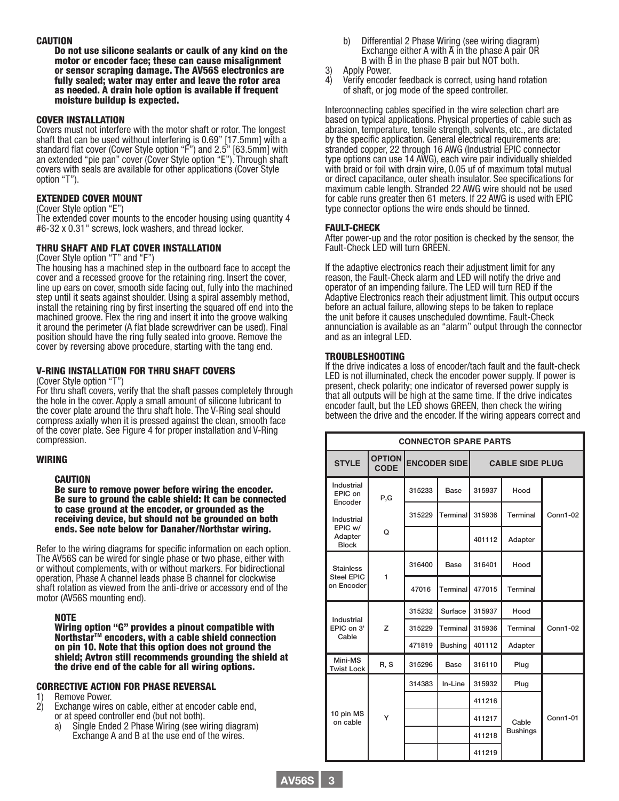#### **CAUTION**

Do not use silicone sealants or caulk of any kind on the motor or encoder face; these can cause misalignment or sensor scraping damage. The AV56S electronics are fully sealed; water may enter and leave the rotor area as needed. A drain hole option is available if frequent moisture buildup is expected.

#### COVER INSTALLATION

Covers must not interfere with the motor shaft or rotor. The longest shaft that can be used without interfering is 0.69" [17.5mm] with a standard flat cover (Cover Style option "F") and 2.5" [63.5mm] with an extended "pie pan" cover (Cover Style option "E"). Through shaft covers with seals are available for other applications (Cover Style option "T").

#### EXTENDED COVER MOUNT

#### (Cover Style option "E")

The extended cover mounts to the encoder housing using quantity 4 #6-32 x 0.31" screws, lock washers, and thread locker.

#### THRU SHAFT AND FLAT COVER INSTALLATION

#### (Cover Style option "T" and "F")

The housing has a machined step in the outboard face to accept the cover and a recessed groove for the retaining ring. Insert the cover, line up ears on cover, smooth side facing out, fully into the machined step until it seats against shoulder. Using a spiral assembly method, install the retaining ring by first inserting the squared off end into the machined groove. Flex the ring and insert it into the groove walking it around the perimeter (A flat blade screwdriver can be used). Final position should have the ring fully seated into groove. Remove the cover by reversing above procedure, starting with the tang end.

#### V-RING INSTALLATION FOR THRU SHAFT COVERS

(Cover Style option "T")

For thru shaft covers, verify that the shaft passes completely through the hole in the cover. Apply a small amount of silicone lubricant to the cover plate around the thru shaft hole. The V-Ring seal should compress axially when it is pressed against the clean, smooth face of the cover plate. See Figure 4 for proper installation and V-Ring compression.

#### WIRING

#### CAUTION

Be sure to remove power before wiring the encoder. Be sure to ground the cable shield: It can be connected to case ground at the encoder, or grounded as the receiving device, but should not be grounded on both ends. See note below for Danaher/Northstar wiring.

Refer to the wiring diagrams for specific information on each option. The AV56S can be wired for single phase or two phase, either with or without complements, with or without markers. For bidirectional operation, Phase A channel leads phase B channel for clockwise shaft rotation as viewed from the anti-drive or accessory end of the motor (AV56S mounting end).

NOTE<br>Wiring option "G" provides a pinout compatible with Northstar<sup>™</sup> encoders, with a cable shield connection<br>on pin 10. Note that this option does not ground the shield; Avtron still recommends grounding the shield at the drive end of the cable for all wiring options.

#### CORRECTIVE ACTION FOR PHASE REVERSAL

- 1) Remove Power.<br>2) Exchange wires
- Exchange wires on cable, either at encoder cable end,
- or at speed controller end (but not both).
	- a) Single Ended 2 Phase Wiring (see wiring diagram) Exchange A and B at the use end of the wires.
- b) Differential 2 Phase Wiring (see wiring diagram) Exchange either A with  $\overline{A}$  in the phase A pair OR B with B in the phase B pair but NOT both.
- 3) Apply Power.
- 4) Verify encoder feedback is correct, using hand rotation of shaft, or jog mode of the speed controller.

Interconnecting cables specified in the wire selection chart are based on typical applications. Physical properties of cable such as abrasion, temperature, tensile strength, solvents, etc., are dictated by the specific application. General electrical requirements are: stranded copper, 22 through 16 AWG (Industrial EPIC connector type options can use 14 AWG), each wire pair individually shielded with braid or foil with drain wire, 0.05 uf of maximum total mutual or direct capacitance, outer sheath insulator. See specifications for maximum cable length. Stranded 22 AWG wire should not be used for cable runs greater then 61 meters. If 22 AWG is used with EPIC type connector options the wire ends should be tinned.

#### FAULT-CHECK

After power-up and the rotor position is checked by the sensor, the Fault-Check LED will turn GREEN.

If the adaptive electronics reach their adjustment limit for any reason, the Fault-Check alarm and LED will notify the drive and operator of an impending failure. The LED will turn RED if the Adaptive Electronics reach their adjustment limit. This output occurs before an actual failure, allowing steps to be taken to replace the unit before it causes unscheduled downtime. Fault-Check annunciation is available as an "alarm" output through the connector and as an integral LED.

#### TROUBLESHOOTING

If the drive indicates a loss of encoder/tach fault and the fault-check LED is not illuminated, check the encoder power supply. If power is present, check polarity; one indicator of reversed power supply is that all outputs will be high at the same time. If the drive indicates encoder fault, but the LED shows GREEN, then check the wiring between the drive and the encoder. If the wiring appears correct and

| <b>CONNECTOR SPARE PARTS</b>       |                              |        |                     |        |                        |                 |  |
|------------------------------------|------------------------------|--------|---------------------|--------|------------------------|-----------------|--|
| <b>STYLE</b>                       | <b>OPTION</b><br><b>CODE</b> |        | <b>ENCODER SIDE</b> |        | <b>CABLE SIDE PLUG</b> |                 |  |
| Industrial<br>EPIC on<br>Encoder   | P,G                          | 315233 | Base                | 315937 | Hood                   |                 |  |
| Industrial                         |                              | 315229 | Terminal            | 315936 | Terminal               | <b>Conn1-02</b> |  |
| EPIC w/<br>Adapter<br><b>Block</b> | Q                            |        |                     | 401112 | Adapter                |                 |  |
| <b>Stainless</b>                   | 1                            | 316400 | <b>Base</b>         | 316401 | Hood                   |                 |  |
| <b>Steel EPIC</b><br>on Encoder    |                              | 47016  | Terminal            | 477015 | Terminal               |                 |  |
| Industrial                         | $\overline{z}$               | 315232 | Surface             | 315937 | Hood                   |                 |  |
| EPIC on 3'<br>Cable                |                              | 315229 | Terminal            | 315936 | Terminal               | <b>Conn1-02</b> |  |
|                                    |                              | 471819 | <b>Bushing</b>      | 401112 | Adapter                |                 |  |
| Mini-MS<br><b>Twist Lock</b>       | R, S                         | 315296 | Base                | 316110 | Plug                   |                 |  |
|                                    |                              | 314383 | In-Line             | 315932 | Plug                   |                 |  |
|                                    |                              |        |                     | 411216 |                        |                 |  |
| 10 pin MS<br>on cable              | Y                            |        |                     | 411217 | Cable                  | <b>Conn1-01</b> |  |
|                                    |                              |        |                     | 411218 | <b>Bushings</b>        |                 |  |
|                                    |                              |        |                     | 411219 |                        |                 |  |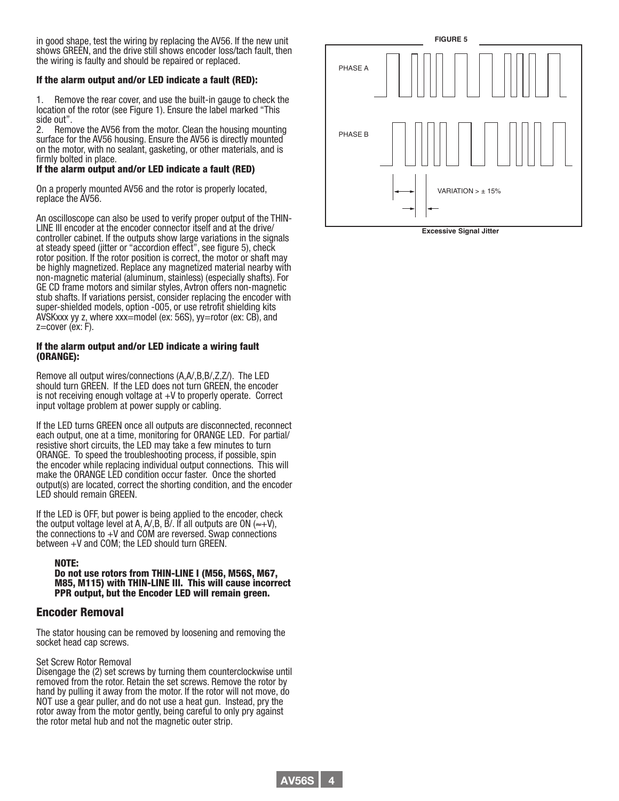in good shape, test the wiring by replacing the AV56. If the new unit shows GREEN, and the drive still shows encoder loss/tach fault, then the wiring is faulty and should be repaired or replaced.

#### If the alarm output and/or LED indicate a fault (RED):

Remove the rear cover, and use the built-in gauge to check the location of the rotor (see Figure 1). Ensure the label marked "This side out".

2. Remove the AV56 from the motor. Clean the housing mounting surface for the AV56 housing. Ensure the AV56 is directly mounted on the motor, with no sealant, gasketing, or other materials, and is firmly bolted in place.

#### If the alarm output and/or LED indicate a fault (RED)

On a properly mounted AV56 and the rotor is properly located, replace the AV56.

An oscilloscope can also be used to verify proper output of the THIN-LINE III encoder at the encoder connector itself and at the drive/ controller cabinet. If the outputs show large variations in the signals at steady speed (jitter or "accordion effect", see figure 5), check rotor position. If the rotor position is correct, the motor or shaft may be highly magnetized. Replace any magnetized material nearby with non-magnetic material (aluminum, stainless) (especially shafts). For GE CD frame motors and similar styles, Avtron offers non-magnetic stub shafts. If variations persist, consider replacing the encoder with super-shielded models, option -005, or use retrofit shielding kits AVSKxxx yy z, where xxx=model (ex: 56S), yy=rotor (ex: CB), and z=cover (ex: F).

#### If the alarm output and/or LED indicate a wiring fault (ORANGE):

Remove all output wires/connections (A,A/,B,B/,Z,Z/). The LED should turn GREEN. If the LED does not turn GREEN, the encoder is not receiving enough voltage at +V to properly operate. Correct input voltage problem at power supply or cabling.

If the LED turns GREEN once all outputs are disconnected, reconnect each output, one at a time, monitoring for ORANGE LED. For partial/ resistive short circuits, the LED may take a few minutes to turn ORANGE. To speed the troubleshooting process, if possible, spin the encoder while replacing individual output connections. This will make the ORANGE LED condition occur faster. Once the shorted output(s) are located, correct the shorting condition, and the encoder LED should remain GREEN.

If the LED is OFF, but power is being applied to the encoder, check the output voltage level at A, A/, B, B/. If all outputs are ON ( $\approx$ +V), the connections to +V and COM are reversed. Swap connections between +V and COM; the LED should turn GREEN.

## NOTE:<br>Do not use rotors from THIN-LINE I (M56, M56S, M67, M85, M115) with THIN-LINE III. This will cause incorrect PPR output, but the Encoder LED will remain green.

#### Encoder Removal

The stator housing can be removed by loosening and removing the socket head cap screws.

#### Set Screw Rotor Removal

Disengage the (2) set screws by turning them counterclockwise until removed from the rotor. Retain the set screws. Remove the rotor by hand by pulling it away from the motor. If the rotor will not move, do NOT use a gear puller, and do not use a heat gun. Instead, pry the rotor away from the motor gently, being careful to only pry against the rotor metal hub and not the magnetic outer strip.



**Excessive Signal Jitter**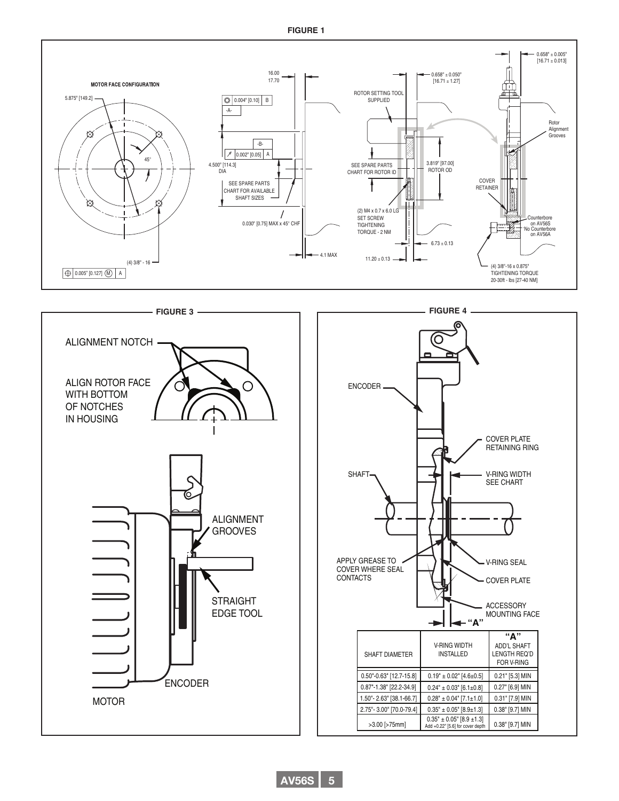#### **FIGURE 1**





#### **AV56S 5**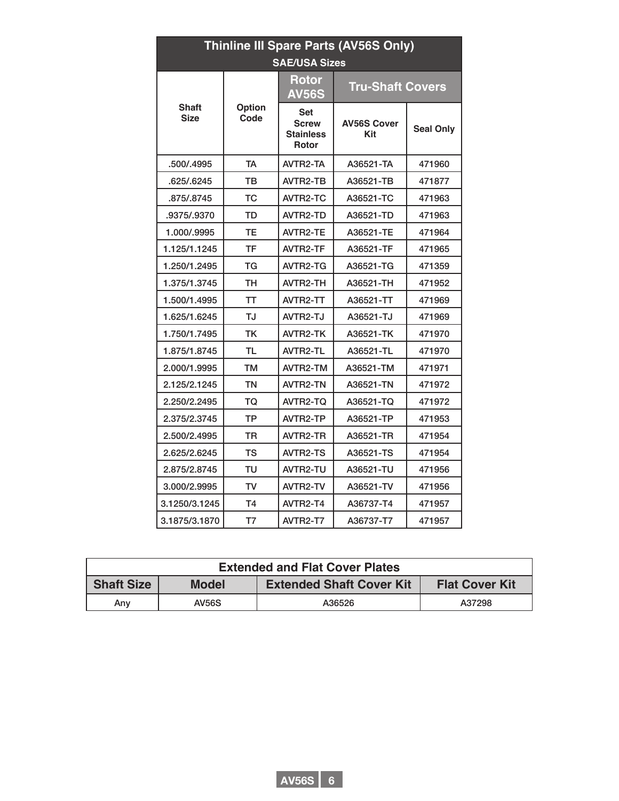| Thinline III Spare Parts (AV56S Only)<br><b>SAE/USA Sizes</b> |                       |                                                         |                           |                  |  |  |
|---------------------------------------------------------------|-----------------------|---------------------------------------------------------|---------------------------|------------------|--|--|
|                                                               |                       | <b>Rotor</b><br><b>AV56S</b>                            | <b>Tru-Shaft Covers</b>   |                  |  |  |
| <b>Shaft</b><br><b>Size</b>                                   | <b>Option</b><br>Code | Set<br><b>Screw</b><br><b>Stainless</b><br><b>Rotor</b> | <b>AV56S Cover</b><br>Kit | <b>Seal Only</b> |  |  |
| .500/.4995                                                    | <b>TA</b>             | AVTR2-TA                                                | A36521-TA                 | 471960           |  |  |
| .625/.6245                                                    | тв                    | AVTR2-TB                                                | A36521-TB                 | 471877           |  |  |
| .875/.8745                                                    | тс                    | AVTR2-TC                                                | A36521-TC                 | 471963           |  |  |
| .9375/.9370                                                   | TD                    | <b>AVTR2-TD</b>                                         | A36521-TD                 | 471963           |  |  |
| 1.000/.9995                                                   | TЕ                    | <b>AVTR2-TE</b>                                         | A36521-TE                 | 471964           |  |  |
| 1.125/1.1245                                                  | TF                    | AVTR2-TF                                                | A36521-TF                 | 471965           |  |  |
| 1.250/1.2495                                                  | ТG                    | AVTR2-TG                                                | A36521-TG                 | 471359           |  |  |
| 1.375/1.3745                                                  | тн                    | AVTR2-TH                                                | A36521-TH                 | 471952           |  |  |
| 1.500/1.4995                                                  | TT                    | AVTR2-TT                                                | A36521-TT                 | 471969           |  |  |
| 1.625/1.6245                                                  | TJ                    | AVTR2-TJ                                                | A36521-TJ                 | 471969           |  |  |
| 1.750/1.7495                                                  | ТK                    | <b>AVTR2-TK</b>                                         | A36521-TK                 | 471970           |  |  |
| 1.875/1.8745                                                  | TL                    | AVTR2-TL                                                | A36521-TL                 | 471970           |  |  |
| 2.000/1.9995                                                  | TМ                    | AVTR2-TM                                                | A36521-TM                 | 471971           |  |  |
| 2.125/2.1245                                                  | ΤN                    | AVTR2-TN                                                | A36521-TN                 | 471972           |  |  |
| 2.250/2.2495                                                  | TQ                    | AVTR2-TQ                                                | A36521-TQ                 | 471972           |  |  |
| 2.375/2.3745                                                  | TP                    | AVTR2-TP                                                | A36521-TP                 | 471953           |  |  |
| 2.500/2.4995                                                  | TR                    | AVTR2-TR                                                | A36521-TR                 | 471954           |  |  |
| 2.625/2.6245                                                  | тs                    | <b>AVTR2-TS</b>                                         | A36521-TS                 | 471954           |  |  |
| 2.875/2.8745                                                  | TU                    | AVTR2-TU                                                | A36521-TU                 | 471956           |  |  |
| 3.000/2.9995                                                  | TV                    | AVTR2-TV                                                | A36521-TV                 | 471956           |  |  |
| 3.1250/3.1245                                                 | T <sub>4</sub>        | AVTR2-T4                                                | A36737-T4                 | 471957           |  |  |
| 3.1875/3.1870                                                 | T7                    | AVTR2-T7                                                | A36737-T7                 | 471957           |  |  |

| <b>Extended and Flat Cover Plates</b> |              |                                 |                       |  |  |  |
|---------------------------------------|--------------|---------------------------------|-----------------------|--|--|--|
| <b>Shaft Size</b>                     | <b>Model</b> | <b>Extended Shaft Cover Kit</b> | <b>Flat Cover Kit</b> |  |  |  |
| Any                                   | <b>AV56S</b> | A36526                          | A37298                |  |  |  |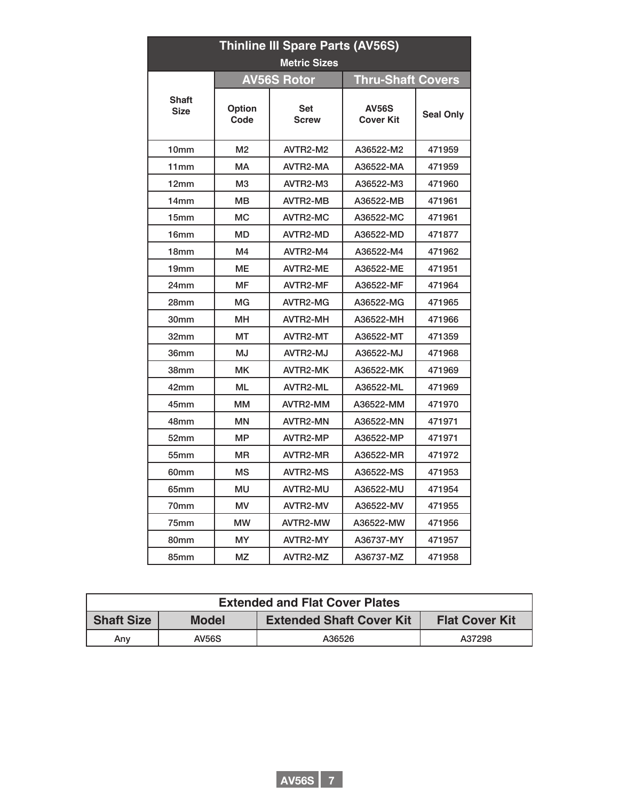|                             | <b>Thinline III Spare Parts (AV56S)</b><br><b>Metric Sizes</b> |                                                |                                  |                  |  |  |  |  |
|-----------------------------|----------------------------------------------------------------|------------------------------------------------|----------------------------------|------------------|--|--|--|--|
|                             |                                                                | <b>Thru-Shaft Covers</b><br><b>AV56S Rotor</b> |                                  |                  |  |  |  |  |
| <b>Shaft</b><br><b>Size</b> | <b>Option</b><br>Code                                          | <b>Set</b><br><b>Screw</b>                     | <b>AV56S</b><br><b>Cover Kit</b> | <b>Seal Only</b> |  |  |  |  |
| 10mm                        | M <sub>2</sub>                                                 | AVTR2-M2                                       | A36522-M2                        | 471959           |  |  |  |  |
| 11mm                        | <b>MA</b>                                                      | AVTR2-MA                                       | A36522-MA                        | 471959           |  |  |  |  |
| 12mm                        | M <sub>3</sub>                                                 | AVTR2-M3                                       | A36522-M3                        | 471960           |  |  |  |  |
| 14mm                        | <b>MB</b>                                                      | AVTR2-MB                                       | A36522-MB                        | 471961           |  |  |  |  |
| 15mm                        | <b>MC</b>                                                      | <b>AVTR2-MC</b>                                | A36522-MC                        | 471961           |  |  |  |  |
| 16 <sub>mm</sub>            | MD                                                             | AVTR2-MD                                       | A36522-MD                        | 471877           |  |  |  |  |
| 18 <sub>mm</sub>            | M4                                                             | AVTR2-M4                                       | A36522-M4                        | 471962           |  |  |  |  |
| 19mm                        | <b>ME</b>                                                      | <b>AVTR2-ME</b>                                | A36522-ME                        | 471951           |  |  |  |  |
| 24mm                        | <b>MF</b>                                                      | AVTR2-MF                                       | A36522-MF                        | 471964           |  |  |  |  |
| 28 <sub>mm</sub>            | MG                                                             | AVTR2-MG                                       | A36522-MG                        | 471965           |  |  |  |  |
| 30mm                        | <b>MH</b>                                                      | AVTR2-MH                                       | A36522-MH                        | 471966           |  |  |  |  |
| 32mm                        | МT                                                             | AVTR2-MT                                       | A36522-MT                        | 471359           |  |  |  |  |
| 36mm                        | <b>MJ</b>                                                      | AVTR2-MJ                                       | A36522-MJ                        | 471968           |  |  |  |  |
| 38mm                        | <b>MK</b>                                                      | <b>AVTR2-MK</b>                                | A36522-MK                        | 471969           |  |  |  |  |
| 42mm                        | <b>ML</b>                                                      | AVTR2-ML                                       | A36522-ML                        | 471969           |  |  |  |  |
| 45mm                        | <b>MM</b>                                                      | AVTR2-MM                                       | A36522-MM                        | 471970           |  |  |  |  |
| 48mm                        | <b>MN</b>                                                      | AVTR2-MN                                       | A36522-MN                        | 471971           |  |  |  |  |
| 52mm                        | <b>MP</b>                                                      | AVTR2-MP                                       | A36522-MP                        | 471971           |  |  |  |  |
| 55mm                        | <b>MR</b>                                                      | AVTR2-MR                                       | A36522-MR                        | 471972           |  |  |  |  |
| 60mm                        | <b>MS</b>                                                      | <b>AVTR2-MS</b>                                | A36522-MS                        | 471953           |  |  |  |  |
| 65mm                        | MU                                                             | AVTR2-MU                                       | A36522-MU                        | 471954           |  |  |  |  |
| 70mm                        | <b>MV</b>                                                      | AVTR2-MV                                       | A36522-MV                        | 471955           |  |  |  |  |
| 75mm                        | MW                                                             | AVTR2-MW                                       | A36522-MW                        | 471956           |  |  |  |  |
| 80mm                        | <b>MY</b>                                                      | AVTR2-MY                                       | A36737-MY                        | 471957           |  |  |  |  |
| 85mm                        | ΜZ                                                             | AVTR2-MZ                                       | A36737-MZ                        | 471958           |  |  |  |  |

| <b>Extended and Flat Cover Plates</b> |              |                                 |                       |  |  |  |
|---------------------------------------|--------------|---------------------------------|-----------------------|--|--|--|
| <b>Shaft Size</b>                     | <b>Model</b> | <b>Extended Shaft Cover Kit</b> | <b>Flat Cover Kit</b> |  |  |  |
| Any                                   | <b>AV56S</b> | A36526                          | A37298                |  |  |  |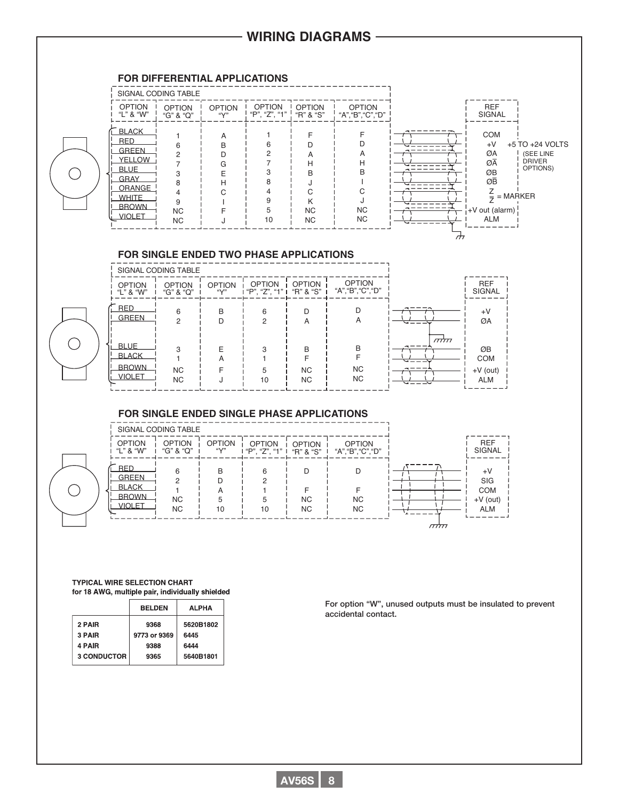# **WIRING DIAGRAMS**

#### **FOR DIFFERENTIAL APPLICATIONS**

 $(\ )$ 

C



#### **FOR SINGLE ENDED TWO PHASE APPLICATIONS**

|                                                              | SIGNAL CODING TABLE        |                                  |                                |                             |                                     |                 |                                              |
|--------------------------------------------------------------|----------------------------|----------------------------------|--------------------------------|-----------------------------|-------------------------------------|-----------------|----------------------------------------------|
| <b>OPTION</b><br>"L" & "W"                                   | <b>OPTION</b><br>"G" & "Q" | <b>OPTION</b><br>$``\mathsf{Y}"$ | <b>OPTION</b><br>"P", "Z", "1" | <b>OPTION</b><br>"R" & "S"  | <b>OPTION</b><br>"A", "B", "C", "D" |                 | <b>REF</b><br>SIGNAL                         |
| <b>RED</b><br><b>GREEN</b>                                   | 6<br>◠                     | B                                | 6<br>2                         | D<br>А                      | $\mathsf{A}$                        | ∼               | $+V$<br>ØA                                   |
| <b>BLUE</b><br><b>BLACK</b><br><b>BROWN</b><br><b>VIOLET</b> | З<br>NC.<br><b>NC</b>      | F<br>A                           | 3<br>5<br>10                   | B<br><b>NC</b><br><b>NC</b> | B<br><b>NC</b><br><b>NC</b>         | $\pi\pi$<br>--- | ØB<br><b>COM</b><br>$+V$ (out)<br><b>ALM</b> |

#### **FOR SINGLE ENDED SINGLE PHASE APPLICATIONS**

|                                                                      | SIGNAL CODING TABLE         |                             |                                |                        |                                     |             |                                                       |
|----------------------------------------------------------------------|-----------------------------|-----------------------------|--------------------------------|------------------------|-------------------------------------|-------------|-------------------------------------------------------|
| <b>OPTION</b><br>"L" & "W"                                           | <b>OPTION</b><br>"G" & "Q"  | <b>OPTION</b><br>$\sqrt{2}$ | <b>OPTION</b><br>"P", "Z", "1" | OPTION<br>"R" & "S"    | <b>OPTION</b><br>"A", "B", "C", "D" |             | <b>REF</b><br>SIGNAL                                  |
| <b>RED</b><br><b>GREEN</b><br><b>BLACK</b><br><b>BROWN</b><br>VIOLET | 6<br><b>NC</b><br><b>NC</b> | B<br>5<br>10                | 6<br>10                        | <b>NC</b><br><b>NC</b> | <b>NC</b><br><b>NC</b>              |             | $+V$<br>SIG<br><b>COM</b><br>$+V$ (out)<br><b>ALM</b> |
|                                                                      |                             |                             |                                |                        |                                     | $\pi\pi\pi$ |                                                       |

#### **TYPICAL WIRE SELECTION CHART** for 18 AWG, multiple pair, individually shielded

|             | <b>BELDEN</b> | <b>ALPHA</b> |
|-------------|---------------|--------------|
| 2 PAIR      | 9368          | 5620B1802    |
| 3 PAIR      | 9773 or 9369  | 6445         |
| 4 PAIR      | 9388          | 6444         |
| 3 CONDUCTOR | 9365          | 5640B1801    |

For option "W", unused outputs must be insulated to prevent accidental contact.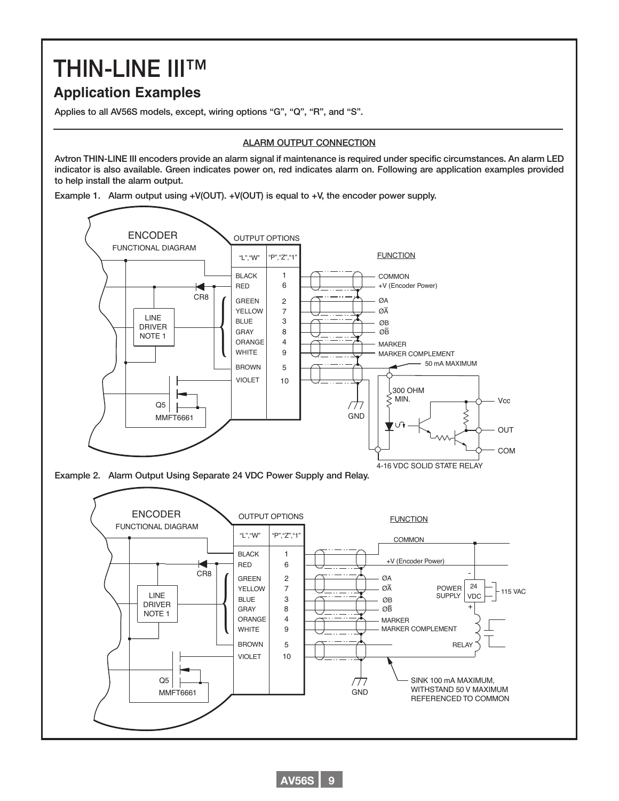# THIN-LINE III™

# **Application Examples**

Applies to all AV56S models, except, wiring options "G", "Q", "R", and "S".

#### ALARM OUTPUT CONNECTION

Avtron THIN-LINE III encoders provide an alarm signal if maintenance is required under specific circumstances. An alarm LED indicator is also available. Green indicates power on, red indicates alarm on. Following are application examples provided to help install the alarm output.

Example 1. Alarm output using +V(OUT). +V(OUT) is equal to +V, the encoder power supply.